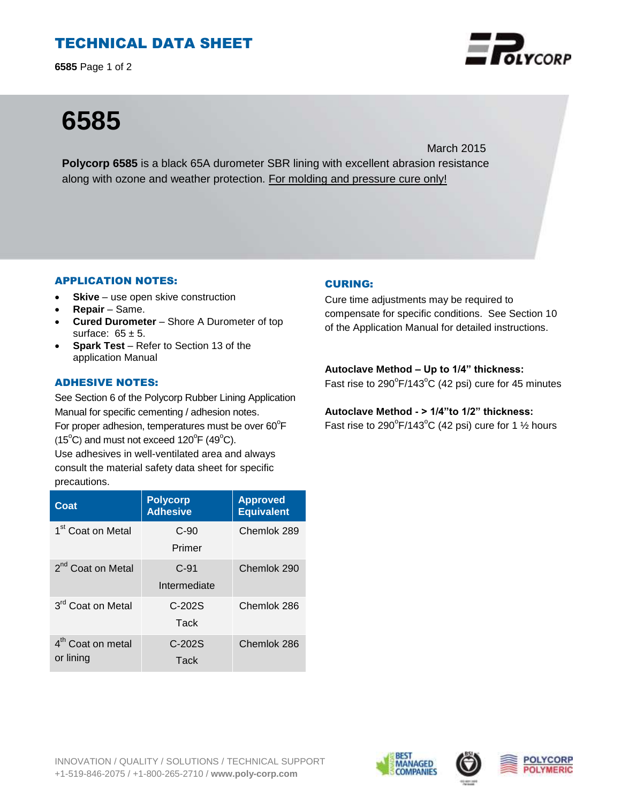# TECHNICAL DATA SHEET

**6585** Page 1 of 2



# **6585**

March 2015 **Polycorp 6585** is a black 65A durometer SBR lining with excellent abrasion resistance along with ozone and weather protection. For molding and pressure cure only!

# APPLICATION NOTES:

- **Skive** use open skive construction
- **Repair**  Same.
- **Cured Durometer**  Shore A Durometer of top surface:  $65 \pm 5$ .
- **Spark Test** Refer to Section 13 of the application Manual

# ADHESIVE NOTES:

See Section 6 of the Polycorp Rubber Lining Application Manual for specific cementing / adhesion notes. For proper adhesion, temperatures must be over  $60^{\circ}$ F

 $(15^{\circ}C)$  and must not exceed  $120^{\circ}F(49^{\circ}C)$ .

Use adhesives in well-ventilated area and always consult the material safety data sheet for specific precautions.

| Coat                                       | <b>Polycorp</b><br><b>Adhesive</b> | <b>Approved</b><br><b>Equivalent</b> |
|--------------------------------------------|------------------------------------|--------------------------------------|
| 1 <sup>st</sup> Coat on Metal              | $C-90$<br>Primer                   | Chemlok 289                          |
| 2 <sup>nd</sup> Coat on Metal              | $C-91$<br>Intermediate             | Chemlok 290                          |
| 3 <sup>rd</sup> Coat on Metal              | $C-202S$<br>Tack                   | Chemlok 286                          |
| 4 <sup>th</sup> Coat on metal<br>or lining | $C-202S$<br>Tack                   | Chemlok 286                          |

# CURING:

Cure time adjustments may be required to compensate for specific conditions. See Section 10 of the Application Manual for detailed instructions.

#### **Autoclave Method – Up to 1/4" thickness:**

Fast rise to  $290^{\circ}$ F/143 $^{\circ}$ C (42 psi) cure for 45 minutes

# **Autoclave Method - > 1/4"to 1/2" thickness:**

Fast rise to 290 $\mathrm{P}/143\mathrm{^oC}$  (42 psi) cure for 1  $\frac{1}{2}$  hours